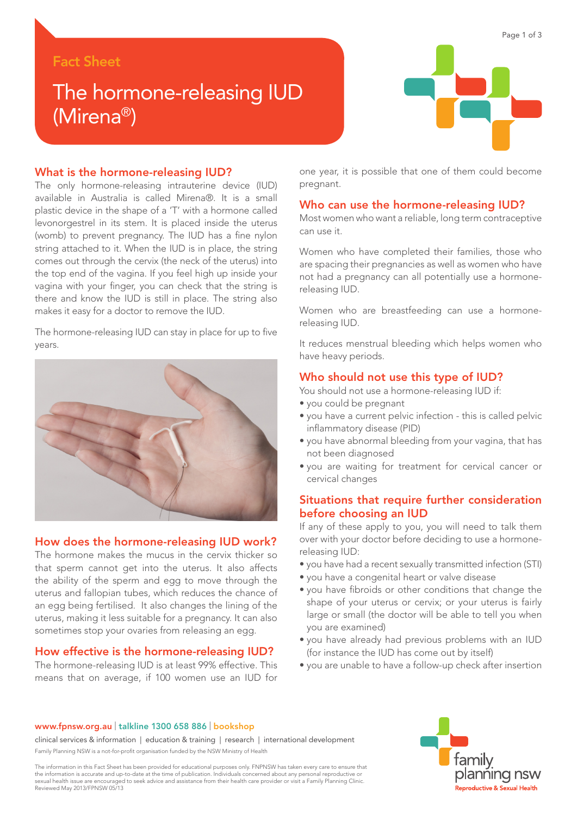## Fact Sheet

# The hormone-releasing IUD (Mirena®)

#### What is the hormone-releasing IUD?

The only hormone-releasing intrauterine device (IUD) available in Australia is called Mirena®. It is a small plastic device in the shape of a 'T' with a hormone called levonorgestrel in its stem. It is placed inside the uterus (womb) to prevent pregnancy. The IUD has a fine nylon string attached to it. When the IUD is in place, the string comes out through the cervix (the neck of the uterus) into the top end of the vagina. If you feel high up inside your vagina with your finger, you can check that the string is there and know the IUD is still in place. The string also makes it easy for a doctor to remove the IUD.

The hormone-releasing IUD can stay in place for up to five years.



#### How does the hormone-releasing IUD work?

The hormone makes the mucus in the cervix thicker so that sperm cannot get into the uterus. It also affects the ability of the sperm and egg to move through the uterus and fallopian tubes, which reduces the chance of an egg being fertilised. It also changes the lining of the uterus, making it less suitable for a pregnancy. It can also sometimes stop your ovaries from releasing an egg.

## How effective is the hormone-releasing IUD?

The hormone-releasing IUD is at least 99% effective. This means that on average, if 100 women use an IUD for



one year, it is possible that one of them could become pregnant.

#### Who can use the hormone-releasing IUD?

Most women who want a reliable, long term contraceptive can use it.

Women who have completed their families, those who are spacing their pregnancies as well as women who have not had a pregnancy can all potentially use a hormonereleasing IUD.

Women who are breastfeeding can use a hormonereleasing IUD.

It reduces menstrual bleeding which helps women who have heavy periods.

#### Who should not use this type of IUD?

You should not use a hormone-releasing IUD if:

- you could be pregnant
- you have a current pelvic infection this is called pelvic inflammatory disease (PID)
- you have abnormal bleeding from your vagina, that has not been diagnosed
- you are waiting for treatment for cervical cancer or cervical changes

## Situations that require further consideration before choosing an IUD

If any of these apply to you, you will need to talk them over with your doctor before deciding to use a hormonereleasing IUD:

- you have had a recent sexually transmitted infection (STI)
- you have a congenital heart or valve disease
- you have fibroids or other conditions that change the shape of your uterus or cervix; or your uterus is fairly large or small (the doctor will be able to tell you when you are examined)
- you have already had previous problems with an IUD (for instance the IUD has come out by itself)
- you are unable to have a follow-up check after insertion

#### www.fpnsw.org.au | talkline 1300 658 886 | bookshop

clinical services & information | education & training | research | international development Family Planning NSW is a not-for-profit organisation funded by the NSW Ministry of Health

The information in this Fact Sheet has been provided for educational purposes only. FNPNSW has taken every care to ensure that<br>the information is accurate and up-to-date at the time of publication. Individuals concerned ab sexual health issue are encouraged to seek advice and assistance from their health care provider or visit a Family Planning Clinic. Reviewed May 2013/FPNSW 05/13

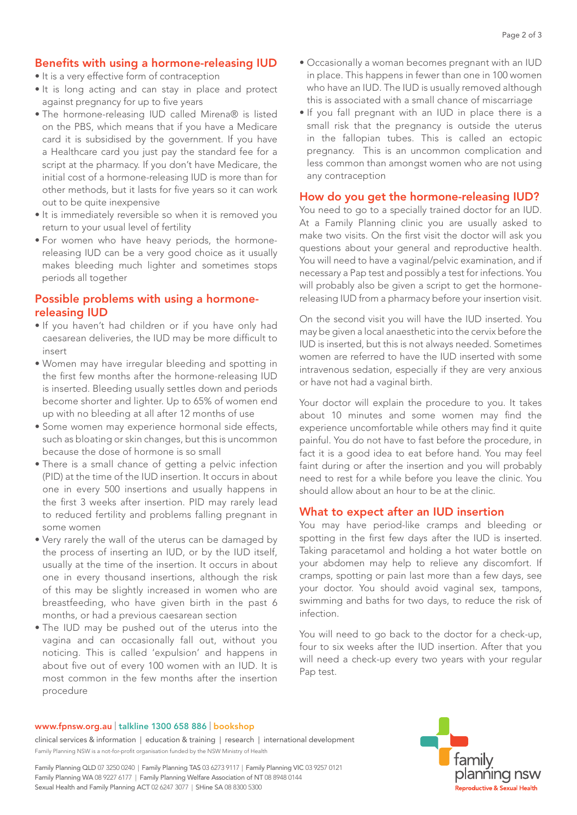## Benefits with using a hormone-releasing IUD

- It is a very effective form of contraception
- It is long acting and can stay in place and protect against pregnancy for up to five years
- The hormone-releasing IUD called Mirena® is listed on the PBS, which means that if you have a Medicare card it is subsidised by the government. If you have a Healthcare card you just pay the standard fee for a script at the pharmacy. If you don't have Medicare, the initial cost of a hormone-releasing IUD is more than for other methods, but it lasts for five years so it can work out to be quite inexpensive
- It is immediately reversible so when it is removed you return to your usual level of fertility
- For women who have heavy periods, the hormonereleasing IUD can be a very good choice as it usually makes bleeding much lighter and sometimes stops periods all together

## Possible problems with using a hormonereleasing IUD

- If you haven't had children or if you have only had caesarean deliveries, the IUD may be more difficult to insert
- Women may have irregular bleeding and spotting in the first few months after the hormone-releasing IUD is inserted. Bleeding usually settles down and periods become shorter and lighter. Up to 65% of women end up with no bleeding at all after 12 months of use
- Some women may experience hormonal side effects, such as bloating or skin changes, but this is uncommon because the dose of hormone is so small
- There is a small chance of getting a pelvic infection (PID) at the time of the IUD insertion. It occurs in about one in every 500 insertions and usually happens in the first 3 weeks after insertion. PID may rarely lead to reduced fertility and problems falling pregnant in some women
- Very rarely the wall of the uterus can be damaged by the process of inserting an IUD, or by the IUD itself, usually at the time of the insertion. It occurs in about one in every thousand insertions, although the risk of this may be slightly increased in women who are breastfeeding, who have given birth in the past 6 months, or had a previous caesarean section
- The IUD may be pushed out of the uterus into the vagina and can occasionally fall out, without you noticing. This is called 'expulsion' and happens in about five out of every 100 women with an IUD. It is most common in the few months after the insertion procedure
- Occasionally a woman becomes pregnant with an IUD in place. This happens in fewer than one in 100 women who have an IUD. The IUD is usually removed although this is associated with a small chance of miscarriage
- If you fall pregnant with an IUD in place there is a small risk that the pregnancy is outside the uterus in the fallopian tubes. This is called an ectopic pregnancy. This is an uncommon complication and less common than amongst women who are not using any contraception

## How do you get the hormone-releasing IUD?

You need to go to a specially trained doctor for an IUD. At a Family Planning clinic you are usually asked to make two visits. On the first visit the doctor will ask you questions about your general and reproductive health. You will need to have a vaginal/pelvic examination, and if necessary a Pap test and possibly a test for infections. You will probably also be given a script to get the hormonereleasing IUD from a pharmacy before your insertion visit.

On the second visit you will have the IUD inserted. You may be given a local anaesthetic into the cervix before the IUD is inserted, but this is not always needed. Sometimes women are referred to have the IUD inserted with some intravenous sedation, especially if they are very anxious or have not had a vaginal birth.

Your doctor will explain the procedure to you. It takes about 10 minutes and some women may find the experience uncomfortable while others may find it quite painful. You do not have to fast before the procedure, in fact it is a good idea to eat before hand. You may feel faint during or after the insertion and you will probably need to rest for a while before you leave the clinic. You should allow about an hour to be at the clinic.

## What to expect after an IUD insertion

You may have period-like cramps and bleeding or spotting in the first few days after the IUD is inserted. Taking paracetamol and holding a hot water bottle on your abdomen may help to relieve any discomfort. If cramps, spotting or pain last more than a few days, see your doctor. You should avoid vaginal sex, tampons, swimming and baths for two days, to reduce the risk of infection.

You will need to go back to the doctor for a check-up, four to six weeks after the IUD insertion. After that you will need a check-up every two years with your regular Pap test.

#### www.fpnsw.org.au | talkline 1300 658 886 | bookshop

clinical services & information | education & training | research | international development Family Planning NSW is a not-for-profit organisation funded by the NSW Ministry of Health

Family Planning QLD 07 3250 0240 | Family Planning TAS 03 6273 9117 | Family Planning VIC 03 9257 0121 Family Planning WA 08 9227 6177 | Family Planning Welfare Association of NT 08 8948 0144 Sexual Health and Family Planning ACT 02 6247 3077 | SHine SA 08 8300 5300